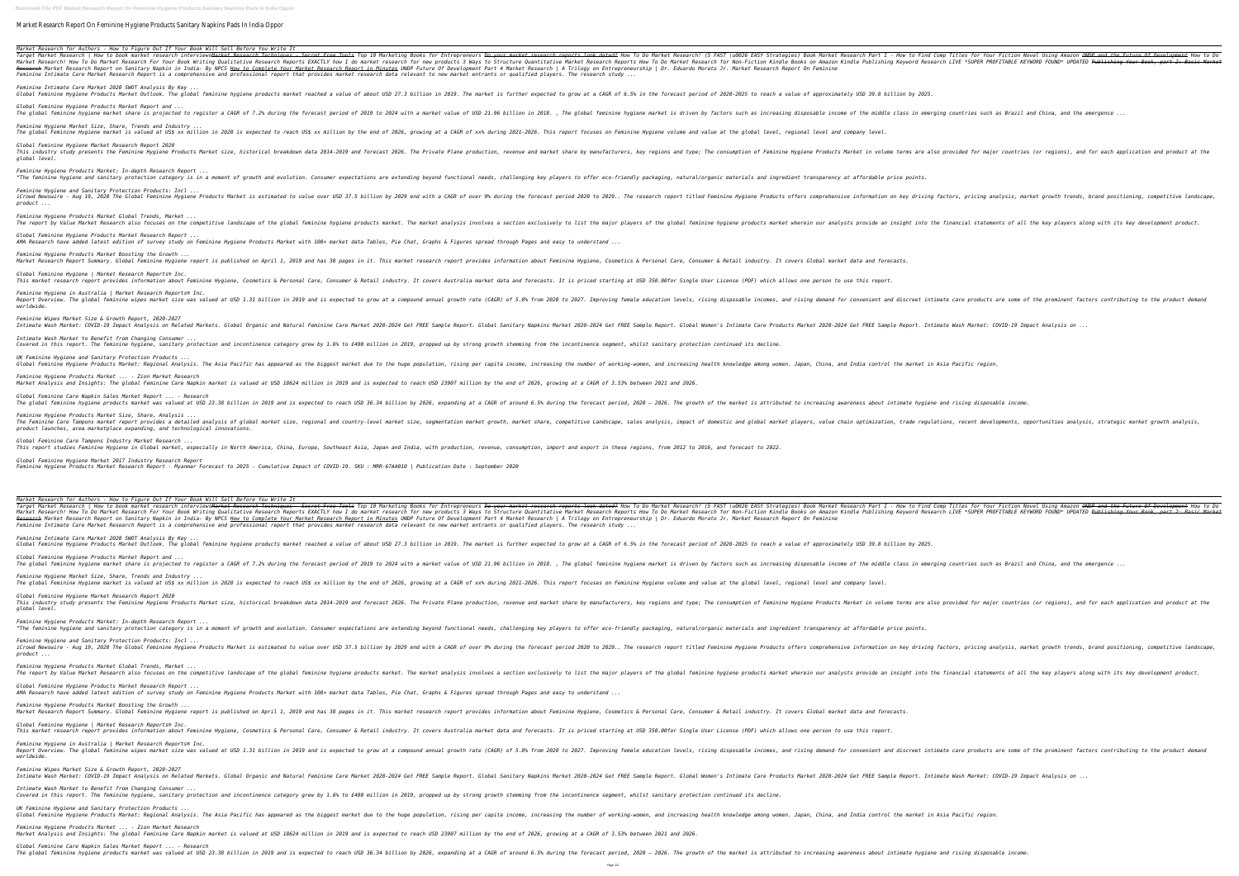**Bookmark File PDF Market Research Report On Feminine Hygiene Products Sanitary Napkins Pads In India Oppor**

Market Research Report On Feminine Hygiene Products Sanitary Napkins Pads In India Oppor

*Market Research for Authors - How to Figure Out If Your Book Will Sell Before You Write It* Target Market Research | How to book market research interviewsMa<del>rket Research Techniques - Secret Free Tools</del> Top 10 Market Research Part I - How to Find Comp Titles for Your Fiction Novel Using Amazon <del>UNDP and the Futu</del> Exactly how To Do Market Research For Your Book Writing Qualitative Research Reports EXACTLY how I do market research for new products 3 Ways to Structure Quantitative Market Research for Non-Fiction Kindle Books on Amazon Research Market Research Report on Sanitary Napkin in India- By NPCS <u>How to Complete Your Market Research Report in Minutes</u> UNDP Future Of Development Part 4 Market Research | A Trilogy on Entrepreneurship | Dr. Eduardo *Feminine Intimate Care Market Research Report is a comprehensive and professional report that provides market research data relevant to new market entrants or qualified players. The research study ...*

*Feminine Hygiene Products Market Boosting the Growth ...* Market Research Report Summary. Global Feminine Hygiene report is published on April 1, 2019 and has 38 pages in it. This market research report provides information about Feminine Hygiene, Cosmetics & Personal Care, Consu *Global Feminine Hygiene | Market Research Reports® Inc.* This market research report provides information about Feminine Hygiene, Cosmetics & Personal Care, Consumer & Retail industry. It covers Australia market data and forecasts. It is priced starting at USD 350.00for Single U *Feminine Hygiene in Australia | Market Research Reports® Inc.* The global feminine wipes market size was valued at USD 1.31 billion in 2019 and is expected to grow at a compound annual growth rate (CAGR) of 5.8% from 2020 to 2027. Improving female education levels, rising demand for c

*Feminine Intimate Care Market 2020 SWOT Analysis By Key ...* Global Feminine Hygiene Products Market Outlook. The global feminine hygiene products market reached a value of about USD 27.3 billion in 2019. The market is further expected to grow at a CAGR of 6.5% in the forecast perio *Global Feminine Hygiene Products Market Report and ...* The global feminine hygiene market share is projected to register a CAGR of 7.2% during the forecast period of 2019 to 2024 with a market is driven by factors such as increasing disposable income of the middle class in eme *Feminine Hygiene Market Size, Share, Trends and Industry ...* The global Feminine Hygiene market is valued at US\$ xx million in 2020 is expected to reach US\$ xx million by the end of 2026, growing at a CAGR of xx% during 2021-2026. This report focuses on Feminine Hygiene volume and v *Global Feminine Hygiene Market Research Report 2020* This industry study presents the Feminine Hygiene Products Market size, historical breakdown data 2014-2019 and forecast 2026. The Private Plane production, revenue and market in volume terms are also provided for major co *global level.*

*Feminine Hygiene Products Market: In-depth Research Report ...* "The feminine hygiene and sanitary protection category is in a moment of growth and evolution. Consumer expectations are extending beyond functional needs, challenging key players to offer eco-friendly packaging, natural/o *Feminine Hygiene and Sanitary Protection Products: Incl ...*

iCrowd Newswire - Aug 19, 2020 The Global Feminine Hygiene Products Market is estimated to value over USD 37.5 billion by 2029 end with a CAGR of over 9% during factors, pricing analysis, market growth trends, brand positi *product ... Feminine Hygiene Products Market Global Trends, Market ...* The report by Value Market Research also focuses on the competitive landscape of the global feminine hygiene products market wherein our analysis involves a section exclusively to list the major players of the global femin

This report studies Feminine Hygiene in Global market, especially in North America, China, Europe, Southeast Asia, Japan and India, with production, import and export in these regions, from 2012 to 2016, and forecast to 20 *Global Feminine Hygiene Market 2017 Industry Research Report Feminine Hygiene Products Market Research Report - Myanmar Forecast to 2025 - Cumulative Impact of COVID-19. SKU : MRR-67AA010 | Publication Date : September 2020*

*Global Feminine Hygiene Products Market Research Report ... AMA Research have added latest edition of survey study on Feminine Hygiene Products Market with 100+ market data Tables, Pie Chat, Graphs & Figures spread through Pages and easy to understand ...*

*worldwide.*

*Feminine Hygiene Products Market Boosting the Growth ...* Market Research Report Summary. Global Feminine Hygiene report is published on April 1, 2019 and has 38 pages in it. This market research report provides information about Feminine Hygiene, Cosmetics & Personal Care, Consu *Global Feminine Hygiene | Market Research Reports® Inc.* This market research report provides information about Feminine Hygiene, Cosmetics & Personal Care, Consumer & Retail industry. It covers Australia market data and forecasts. It is priced starting at USD 350.00for Single U *Feminine Hygiene in Australia | Market Research Reports® Inc.* The global feminine wipes market size was valued at USD 1.31 billion in 2019 and is expected to grow at a compound annual growth rate (CAGR) of 5.8% from 2020 to 2027. Improving female education levels, rising disposable i

*Feminine Wipes Market Size & Growth Report, 2020-2027* Intimate Wash Market: COVID-19 Impact Analysis on Related Markets. Global Organic and Natural Teminine Care Products Market 2020-2024 Get FREE Sample Report. Global Women's Intimate Care Products Market 2020-2024 Get FREE *Intimate Wash Market to Benefit from Changing Consumer ...* Covered in this report. The feminine hygiene, sanitary protection and incontinence category grew by 1.6% to £490 million in 2019, propped up by strong growth stemming from the incontinence segment, whilst sanitary protecti *UK Feminine Hygiene and Sanitary Protection Products ...* Global Feminine Hygiene Products Market: Regional Analysis. The Asia Pacific has appeared as the biggest market due to the huge population, rising per capita income, and increasing health knowledge among women. Japan, Chin *Feminine Hygiene Products Market ... - Zion Market Research* Market Analysis and Insights: The global Feminine Care Napkin market is valued at USD 18624 million in 2019 and is expected to reach USD 23907 million by the end of 2026, growing at a CAGR of 3.53% between 2021 and 2026. *Global Feminine Care Napkin Sales Market Report ... - Research* The global feminine hygiene products market was valued at USD 23.38 billion in 2019 and is expected to reach USD 36.34 billion by 2026, expanding at a CAGR of around 6.5% during the forecast period, 2020 – 2026. The growth *Feminine Hygiene Products Market Size, Share, Analysis ...* The Feminine Care Tampons market report provides a detailed analvsis of alobal market size, regional and countro-level market size, regional and countro-level market size, regional and countro-level market size, regional a *product launches, area marketplace expanding, and technological innovations. Global Feminine Care Tampons Industry Market Research ...*

*Market Research for Authors - How to Figure Out If Your Book Will Sell Before You Write It* Target Market Research | How to book market research interviews<del>Market Research Techniques - Secret Free Tools</del> Top 10 Market Research Part I - How to Find Comp Titles for Your Fiction Novel Using Amazon <del>UNDP and the Futu</del> Narket Research! How To Do Market Research For Your Book Writing Qualitative Research Reports EXACTLY how I do market research for new products 3 Ways to Structure Quantitative Market Research for new products 3 Ways to St Research Market Research Report on Sanitary Napkin in India- By NPCS <u>How to Complete Your Market Research | A Trilogy on Entrepreneurship</u> | Dr. Eduardo Morato Jr. Market Research Report On Feminine *Feminine Intimate Care Market Research Report is a comprehensive and professional report that provides market research data relevant to new market entrants or qualified players. The research study ...*

*Feminine Intimate Care Market 2020 SWOT Analysis By Key ...*

Global Feminine Hygiene Products Market Outlook. The global feminine hygiene products market reached a value of about USD 27.3 billion in 2019. The market is further expected to grow at a CAGR of 6.5% in the forecast perio *Global Feminine Hygiene Products Market Report and ...* The global feminine hygiene market share is projected to register a CAGR of 7.2% during the forecast period of 2019 to 2024 with a market value of USD 21.96 billion in 2018. , The global feminine hygiene market is driven b *Feminine Hygiene Market Size, Share, Trends and Industry ...* The global Feminine Hygiene market is valued at US\$ xx million in 2020 is expected to reach US\$ xx million by the end of 2026, growing at a CAGR of xx% during 2021-2026. This report focuses on Feminine Hygiene volume and v *Global Feminine Hygiene Market Research Report 2020* This industry study presents the Feminine Hygiene Products Market size, historical breakdown data 2014-2019 and forecast 2026. The Private Plane production, revenue and market in volume terms are also provided for major co *global level. Feminine Hygiene Products Market: In-depth Research Report ...* "The feminine hygiene and sanitary protection category is in a moment of growth and evolution. Consumer expectations are extending beyond functional needs, challenging key players to offer eco-friendly packaging, natural/o *Feminine Hygiene and Sanitary Protection Products: Incl ...* iCrowd Newswire - Aug 19, 2020 The Global Feminine Hygiene Products Market is estimated to value over USD 37.5 billion by 2029 end with a CAGR of over 9% during factors, pricing analysis, market growth trends, brand positi

*product ...*

*Feminine Hygiene Products Market Global Trends, Market ...* The report by Value Market Research also focuses on the competitive landscape of the global feminine hygiene products market wherein our analysis involves a section exclusively to list the market. The market analysis invol *Global Feminine Hygiene Products Market Research Report ... AMA Research have added latest edition of survey study on Feminine Hygiene Products Market with 100+ market data Tables, Pie Chat, Graphs & Figures spread through Pages and easy to understand ...*

*worldwide.*

*Feminine Wipes Market Size & Growth Report, 2020-2027*

Intimate Wash Market: COVID-19 Impact Analysis on Related Markets. Global Organic and Natural organic and Natural Feminine Care Products Market 2020-2024 Get FREE Sample Report. Global Women's Intimate Care Products Market *Intimate Wash Market to Benefit from Changing Consumer ...* Covered in this report. The feminine hygiene, sanitary protection and incontinence category grew by 1.6% to £490 million in 2019, propped up by strong growth stemming from the incontinence segment, whilst sanitary protecti *UK Feminine Hygiene and Sanitary Protection Products ...* Global Feminine Hygiene Products Market: Regional Analysis. The Asia Pacific has appeared as the biggest market due to the huge population, rising per capita income, and increasing health knowledge among women. Japan, Chin *Feminine Hygiene Products Market ... - Zion Market Research* Market Analysis and Insights: The global Feminine Care Napkin market is valued at USD 18624 million in 2019 and is expected to reach USD 23907 million by the end of 2026, growing at a CAGR of 3.53% between 2021 and 2026. *Global Feminine Care Napkin Sales Market Report ... - Research* The global feminine hygiene products market was valued at USD 23.38 billion in 2019 and is expected to reach USD 36.34 billion by 2026, expanding at a CAGR of around 6.5% during the forecast period, 2020 - 2026. The growth